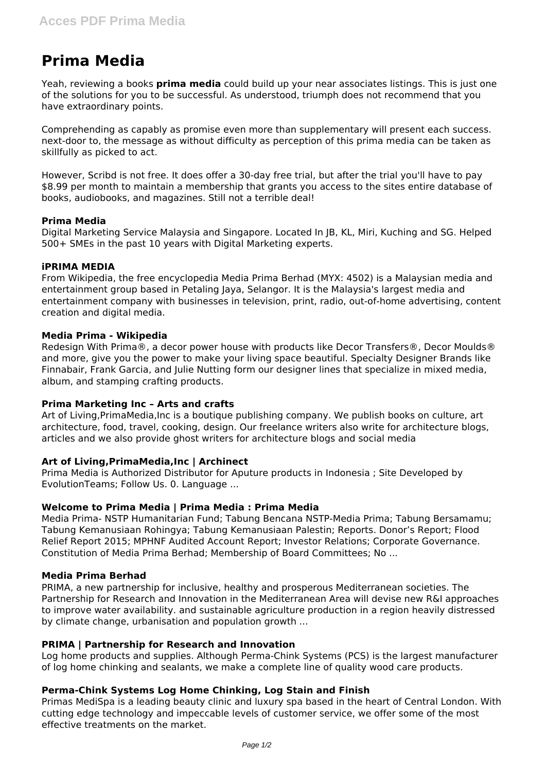# **Prima Media**

Yeah, reviewing a books **prima media** could build up your near associates listings. This is just one of the solutions for you to be successful. As understood, triumph does not recommend that you have extraordinary points.

Comprehending as capably as promise even more than supplementary will present each success. next-door to, the message as without difficulty as perception of this prima media can be taken as skillfully as picked to act.

However, Scribd is not free. It does offer a 30-day free trial, but after the trial you'll have to pay \$8.99 per month to maintain a membership that grants you access to the sites entire database of books, audiobooks, and magazines. Still not a terrible deal!

# **Prima Media**

Digital Marketing Service Malaysia and Singapore. Located In JB, KL, Miri, Kuching and SG. Helped 500+ SMEs in the past 10 years with Digital Marketing experts.

# **iPRIMA MEDIA**

From Wikipedia, the free encyclopedia Media Prima Berhad (MYX: 4502) is a Malaysian media and entertainment group based in Petaling Jaya, Selangor. It is the Malaysia's largest media and entertainment company with businesses in television, print, radio, out-of-home advertising, content creation and digital media.

# **Media Prima - Wikipedia**

Redesign With Prima®, a decor power house with products like Decor Transfers®, Decor Moulds® and more, give you the power to make your living space beautiful. Specialty Designer Brands like Finnabair, Frank Garcia, and Julie Nutting form our designer lines that specialize in mixed media, album, and stamping crafting products.

# **Prima Marketing Inc – Arts and crafts**

Art of Living,PrimaMedia,Inc is a boutique publishing company. We publish books on culture, art architecture, food, travel, cooking, design. Our freelance writers also write for architecture blogs, articles and we also provide ghost writers for architecture blogs and social media

# **Art of Living,PrimaMedia,Inc | Archinect**

Prima Media is Authorized Distributor for Aputure products in Indonesia ; Site Developed by EvolutionTeams; Follow Us. 0. Language ...

#### **Welcome to Prima Media | Prima Media : Prima Media**

Media Prima- NSTP Humanitarian Fund; Tabung Bencana NSTP-Media Prima; Tabung Bersamamu; Tabung Kemanusiaan Rohingya; Tabung Kemanusiaan Palestin; Reports. Donor's Report; Flood Relief Report 2015; MPHNF Audited Account Report; Investor Relations; Corporate Governance. Constitution of Media Prima Berhad; Membership of Board Committees; No ...

#### **Media Prima Berhad**

PRIMA, a new partnership for inclusive, healthy and prosperous Mediterranean societies. The Partnership for Research and Innovation in the Mediterranean Area will devise new R&I approaches to improve water availability. and sustainable agriculture production in a region heavily distressed by climate change, urbanisation and population growth ...

#### **PRIMA | Partnership for Research and Innovation**

Log home products and supplies. Although Perma-Chink Systems (PCS) is the largest manufacturer of log home chinking and sealants, we make a complete line of quality wood care products.

# **Perma-Chink Systems Log Home Chinking, Log Stain and Finish**

Primas MediSpa is a leading beauty clinic and luxury spa based in the heart of Central London. With cutting edge technology and impeccable levels of customer service, we offer some of the most effective treatments on the market.